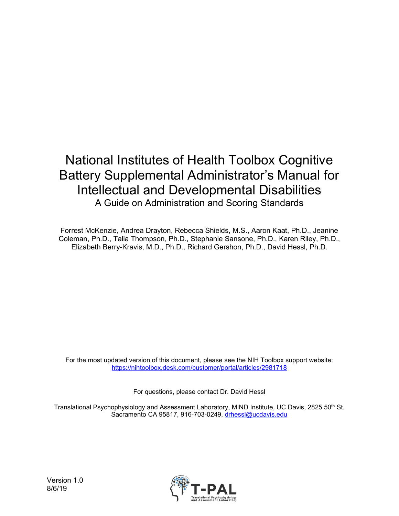## National Institutes of Health Toolbox Cognitive Battery Supplemental Administrator's Manual for Intellectual and Developmental Disabilities A Guide on Administration and Scoring Standards

Forrest McKenzie, Andrea Drayton, Rebecca Shields, M.S., Aaron Kaat, Ph.D., Jeanine Coleman, Ph.D., Talia Thompson, Ph.D., Stephanie Sansone, Ph.D., Karen Riley, Ph.D., Elizabeth Berry-Kravis, M.D., Ph.D., Richard Gershon, Ph.D., David Hessl, Ph.D.

For the most updated version of this document, please see the NIH Toolbox support website: [https://nihtoolbox.desk.com/customer/portal/articles/2981718](https://urldefense.proofpoint.com/v2/url?u=https-3A__nihtoolbox.desk.com_customer_portal_articles_2981718&d=DwMFAg&c=yHlS04HhBraes5BQ9ueu5zKhE7rtNXt_d012z2PA6ws&r=NLatqKT3CF2mnKV83B0v12_b1PIFxowLYC8PUluTqj4&m=3ureg71DNAfHJ4WdPTiSlpE1vO_AN9DbSvOFJvZZ56w&s=EDpiEPcJwcN987vtBYfAlw3u2OaYiPtjkH9jM9nieLI&e=)

For questions, please contact Dr. David Hessl

Translational Psychophysiology and Assessment Laboratory, MIND Institute, UC Davis, 2825 50<sup>th</sup> St. Sacramento CA 95817, 916-703-0249, [drhessl@ucdavis.edu](mailto:drhessl@ucdavis.edu)

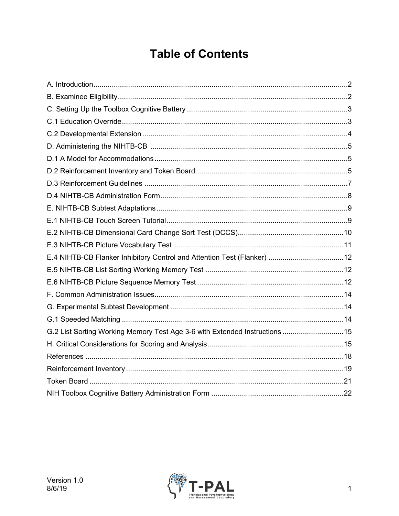# **Table of Contents**

| E.4 NIHTB-CB Flanker Inhibitory Control and Attention Test (Flanker) 12     |  |
|-----------------------------------------------------------------------------|--|
|                                                                             |  |
|                                                                             |  |
|                                                                             |  |
|                                                                             |  |
|                                                                             |  |
| G.2 List Sorting Working Memory Test Age 3-6 with Extended Instructions  15 |  |
|                                                                             |  |
|                                                                             |  |
|                                                                             |  |
|                                                                             |  |
|                                                                             |  |

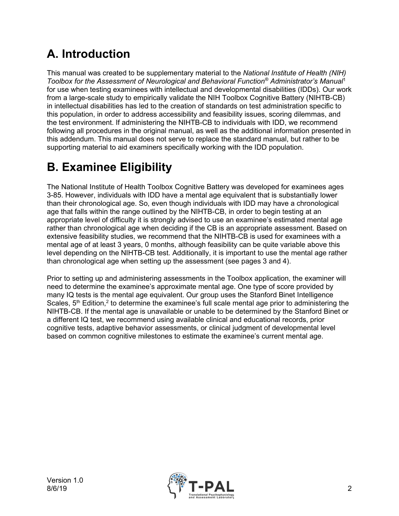# **A. Introduction**

This manual was created to be supplementary material to the *National Institute of Health (NIH) Toolbox for the Assessment of Neurological and Behavioral Function® Administrator's Manu[al](#page-18-0)*<sup>1</sup> for use when testing examinees with intellectual and developmental disabilities (IDDs). Our work from a large-scale study to empirically validate the NIH Toolbox Cognitive Battery (NIHTB-CB) in intellectual disabilities has led to the creation of standards on test administration specific to this population, in order to address accessibility and feasibility issues, scoring dilemmas, and the test environment. If administering the NIHTB-CB to individuals with IDD, we recommend following all procedures in the original manual, as well as the additional information presented in this addendum. This manual does not serve to replace the standard manual, but rather to be supporting material to aid examiners specifically working with the IDD population.

# **B. Examinee Eligibility**

The National Institute of Health Toolbox Cognitive Battery was developed for examinees ages 3-85. However, individuals with IDD have a mental age equivalent that is substantially lower than their chronological age. So, even though individuals with IDD may have a chronological age that falls within the range outlined by the NIHTB-CB, in order to begin testing at an appropriate level of difficulty it is strongly advised to use an examinee's estimated mental age rather than chronological age when deciding if the CB is an appropriate assessment. Based on extensive feasibility studies, we recommend that the NIHTB-CB is used for examinees with a mental age of at least 3 years, 0 months, although feasibility can be quite variable above this level depending on the NIHTB-CB test. Additionally, it is important to use the mental age rather than chronological age when setting up the assessment (see pages 3 and 4).

Prior to setting up and administering assessments in the Toolbox application, the examiner will need to determine the examinee's approximate mental age. One type of score provided by many IQ tests is the mental age equivalent. Our group uses the Stanford Binet Intelligence Scales,  $5<sup>th</sup>$  Edition,<sup>2</sup> to determine the examinee's full scale mental age prior to administering the NIHTB-CB. If the mental age is unavailable or unable to be determined by the Stanford Binet or a different IQ test, we recommend using available clinical and educational records, prior cognitive tests, adaptive behavior assessments, or clinical judgment of developmental level based on common cognitive milestones to estimate the examinee's current mental age.

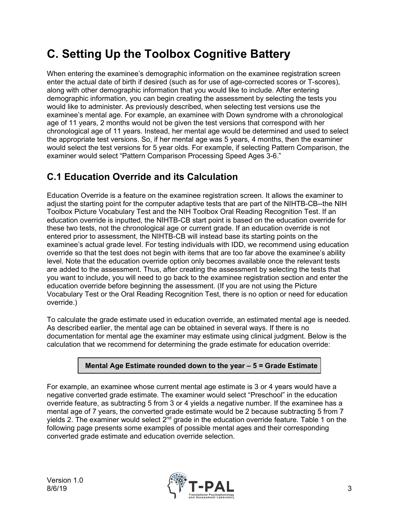# **C. Setting Up the Toolbox Cognitive Battery**

When entering the examinee's demographic information on the examinee registration screen enter the actual date of birth if desired (such as for use of age-corrected scores or T-scores), along with other demographic information that you would like to include. After entering demographic information, you can begin creating the assessment by selecting the tests you would like to administer. As previously described, when selecting test versions use the examinee's mental age. For example, an examinee with Down syndrome with a chronological age of 11 years, 2 months would not be given the test versions that correspond with her chronological age of 11 years. Instead, her mental age would be determined and used to select the appropriate test versions. So, if her mental age was 5 years, 4 months, then the examiner would select the test versions for 5 year olds. For example, if selecting Pattern Comparison, the examiner would select "Pattern Comparison Processing Speed Ages 3-6."

## **C.1 Education Override and its Calculation**

Education Override is a feature on the examinee registration screen. It allows the examiner to adjust the starting point for the computer adaptive tests that are part of the NIHTB-CB--the NIH Toolbox Picture Vocabulary Test and the NIH Toolbox Oral Reading Recognition Test. If an education override is inputted, the NIHTB-CB start point is based on the education override for these two tests, not the chronological age or current grade. If an education override is not entered prior to assessment, the NIHTB-CB will instead base its starting points on the examinee's actual grade level. For testing individuals with IDD, we recommend using education override so that the test does not begin with items that are too far above the examinee's ability level. Note that the education override option only becomes available once the relevant tests are added to the assessment. Thus, after creating the assessment by selecting the tests that you want to include, you will need to go back to the examinee registration section and enter the education override before beginning the assessment. (If you are not using the Picture Vocabulary Test or the Oral Reading Recognition Test, there is no option or need for education override.)

To calculate the grade estimate used in education override, an estimated mental age is needed. As described earlier, the mental age can be obtained in several ways. If there is no documentation for mental age the examiner may estimate using clinical judgment. Below is the calculation that we recommend for determining the grade estimate for education override:

#### **Mental Age Estimate rounded down to the year – 5 = Grade Estimate**

For example, an examinee whose current mental age estimate is 3 or 4 years would have a negative converted grade estimate. The examiner would select "Preschool" in the education override feature, as subtracting 5 from 3 or 4 yields a negative number. If the examinee has a mental age of 7 years, the converted grade estimate would be 2 because subtracting 5 from 7 yields 2. The examiner would select  $2<sup>nd</sup>$  grade in the education override feature. Table 1 on the following page presents some examples of possible mental ages and their corresponding converted grade estimate and education override selection.

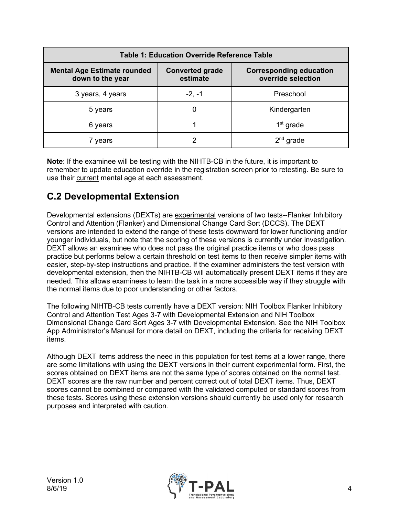| <b>Table 1: Education Override Reference Table</b>     |                                    |                                                      |  |  |  |  |  |  |
|--------------------------------------------------------|------------------------------------|------------------------------------------------------|--|--|--|--|--|--|
| <b>Mental Age Estimate rounded</b><br>down to the year | <b>Converted grade</b><br>estimate | <b>Corresponding education</b><br>override selection |  |  |  |  |  |  |
| 3 years, 4 years                                       | $-2, -1$                           | Preschool                                            |  |  |  |  |  |  |
| 5 years                                                | O                                  | Kindergarten                                         |  |  |  |  |  |  |
| 6 years                                                |                                    | $1st$ grade                                          |  |  |  |  |  |  |
| 7 years                                                |                                    | $2nd$ grade                                          |  |  |  |  |  |  |

**Note**: If the examinee will be testing with the NIHTB-CB in the future, it is important to remember to update education override in the registration screen prior to retesting. Be sure to use their current mental age at each assessment.

## **C.2 Developmental Extension**

Developmental extensions (DEXTs) are experimental versions of two tests--Flanker Inhibitory Control and Attention (Flanker) and Dimensional Change Card Sort (DCCS). The DEXT versions are intended to extend the range of these tests downward for lower functioning and/or younger individuals, but note that the scoring of these versions is currently under investigation. DEXT allows an examinee who does not pass the original practice items or who does pass practice but performs below a certain threshold on test items to then receive simpler items with easier, step-by-step instructions and practice. If the examiner administers the test version with developmental extension, then the NIHTB-CB will automatically present DEXT items if they are needed. This allows examinees to learn the task in a more accessible way if they struggle with the normal items due to poor understanding or other factors.

The following NIHTB-CB tests currently have a DEXT version: NIH Toolbox Flanker Inhibitory Control and Attention Test Ages 3-7 with Developmental Extension and NIH Toolbox Dimensional Change Card Sort Ages 3-7 with Developmental Extension. See the NIH Toolbox App Administrator's Manual for more detail on DEXT, including the criteria for receiving DEXT items.

Although DEXT items address the need in this population for test items at a lower range, there are some limitations with using the DEXT versions in their current experimental form. First, the scores obtained on DEXT items are not the same type of scores obtained on the normal test. DEXT scores are the raw number and percent correct out of total DEXT items. Thus, DEXT scores cannot be combined or compared with the validated computed or standard scores from these tests. Scores using these extension versions should currently be used only for research purposes and interpreted with caution.

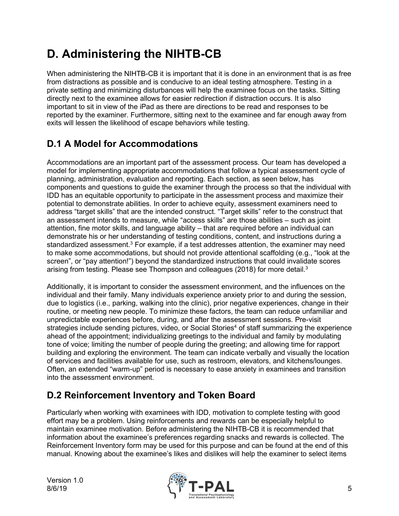# **D. Administering the NIHTB-CB**

When administering the NIHTB-CB it is important that it is done in an environment that is as free from distractions as possible and is conducive to an ideal testing atmosphere. Testing in a private setting and minimizing disturbances will help the examinee focus on the tasks. Sitting directly next to the examinee allows for easier redirection if distraction occurs. It is also important to sit in view of the iPad as there are directions to be read and responses to be reported by the examiner. Furthermore, sitting next to the examinee and far enough away from exits will lessen the likelihood of escape behaviors while testing.

## **D.1 A Model for Accommodations**

Accommodations are an important part of the assessment process. Our team has developed a model for implementing appropriate accommodations that follow a typical assessment cycle of planning, administration, evaluation and reporting. Each section, as seen below, has components and questions to guide the examiner through the process so that the individual with IDD has an equitable opportunity to participate in the assessment process and maximize their potential to demonstrate abilities. In order to achieve equity, assessment examiners need to address "target skills" that are the intended construct. "Target skills" refer to the construct that an assessment intends to measure, while "access skills" are those abilities – such as joint attention, fine motor skills, and language ability – that are required before an individual can demonstrate his or her understanding of testing conditions, content, and instructions during a standardized assessment. $3$  For example, if a test addresses attention, the examiner may need to make some accommodations, but should not provide attentional scaffolding (e.g., "look at the screen", or "pay attention!") beyond the standardized instructions that could invalidate scores arising from testing. Please see Thompson and colleagues (2018) for more detail.3

Additionally, it is important to consider the assessment environment, and the influences on the individual and their family. Many individuals experience anxiety prior to and during the session, due to logistics (i.e., parking, walking into the clinic), prior negative experiences, change in their routine, or meeting new people. To minimize these factors, the team can reduce unfamiliar and unpredictable experiences before, during, and after the assessment sessions. Pre-visit strategies include sending pictures, video, or Social Stories<sup>4</sup> of staff summarizing the experience ahead of the appointment; individualizing greetings to the individual and family by modulating tone of voice; limiting the number of people during the greeting; and allowing time for rapport building and exploring the environment. The team can indicate verbally and visually the location of services and facilities available for use, such as restroom, elevators, and kitchens/lounges. Often, an extended "warm-up" period is necessary to ease anxiety in examinees and transition into the assessment environment.

## **D.2 Reinforcement Inventory and Token Board**

Particularly when working with examinees with IDD, motivation to complete testing with good effort may be a problem. Using reinforcements and rewards can be especially helpful to maintain examinee motivation. Before administering the NIHTB-CB it is recommended that information about the examinee's preferences regarding snacks and rewards is collected. The Reinforcement Inventory form may be used for this purpose and can be found at the end of this manual. Knowing about the examinee's likes and dislikes will help the examiner to select items

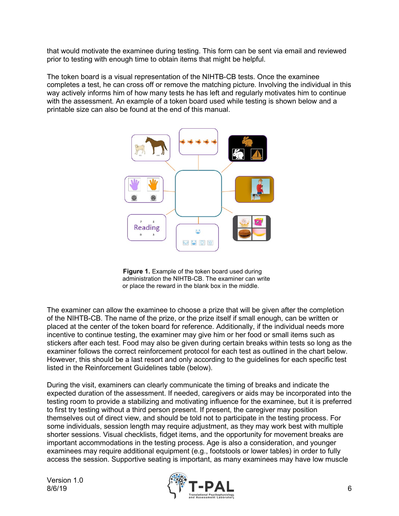that would motivate the examinee during testing. This form can be sent via email and reviewed prior to testing with enough time to obtain items that might be helpful.

The token board is a visual representation of the NIHTB-CB tests. Once the examinee completes a test, he can cross off or remove the matching picture. Involving the individual in this way actively informs him of how many tests he has left and regularly motivates him to continue with the assessment. An example of a token board used while testing is shown below and a printable size can also be found at the end of this manual.





The examiner can allow the examinee to choose a prize that will be given after the completion of the NIHTB-CB. The name of the prize, or the prize itself if small enough, can be written or placed at the center of the token board for reference. Additionally, if the individual needs more incentive to continue testing, the examiner may give him or her food or small items such as stickers after each test. Food may also be given during certain breaks within tests so long as the examiner follows the correct reinforcement protocol for each test as outlined in the chart below. However, this should be a last resort and only according to the guidelines for each specific test listed in the Reinforcement Guidelines table (below).

During the visit, examiners can clearly communicate the timing of breaks and indicate the expected duration of the assessment. If needed, caregivers or aids may be incorporated into the testing room to provide a stabilizing and motivating influence for the examinee, but it is preferred to first try testing without a third person present. If present, the caregiver may position themselves out of direct view, and should be told not to participate in the testing process. For some individuals, session length may require adjustment, as they may work best with multiple shorter sessions. Visual checklists, fidget items, and the opportunity for movement breaks are important accommodations in the testing process. Age is also a consideration, and younger examinees may require additional equipment (e.g., footstools or lower tables) in order to fully access the session. Supportive seating is important, as many examinees may have low muscle

Version 1.0

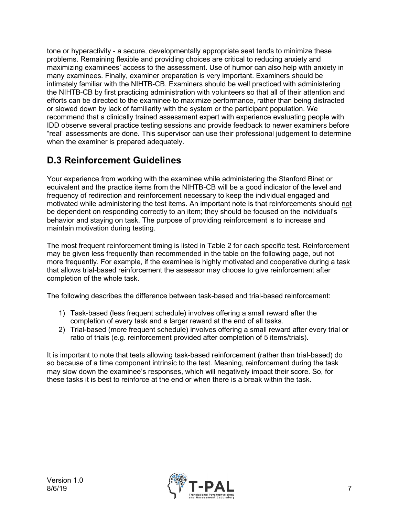tone or hyperactivity - a secure, developmentally appropriate seat tends to minimize these problems. Remaining flexible and providing choices are critical to reducing anxiety and maximizing examinees' access to the assessment. Use of humor can also help with anxiety in many examinees. Finally, examiner preparation is very important. Examiners should be intimately familiar with the NIHTB-CB. Examiners should be well practiced with administering the NIHTB-CB by first practicing administration with volunteers so that all of their attention and efforts can be directed to the examinee to maximize performance, rather than being distracted or slowed down by lack of familiarity with the system or the participant population. We recommend that a clinically trained assessment expert with experience evaluating people with IDD observe several practice testing sessions and provide feedback to newer examiners before "real" assessments are done. This supervisor can use their professional judgement to determine when the examiner is prepared adequately.

## **D.3 Reinforcement Guidelines**

Your experience from working with the examinee while administering the Stanford Binet or equivalent and the practice items from the NIHTB-CB will be a good indicator of the level and frequency of redirection and reinforcement necessary to keep the individual engaged and motivated while administering the test items. An important note is that reinforcements should not be dependent on responding correctly to an item; they should be focused on the individual's behavior and staying on task. The purpose of providing reinforcement is to increase and maintain motivation during testing.

The most frequent reinforcement timing is listed in Table 2 for each specific test. Reinforcement may be given less frequently than recommended in the table on the following page, but not more frequently. For example, if the examinee is highly motivated and cooperative during a task that allows trial-based reinforcement the assessor may choose to give reinforcement after completion of the whole task.

The following describes the difference between task-based and trial-based reinforcement:

- 1) Task-based (less frequent schedule) involves offering a small reward after the completion of every task and a larger reward at the end of all tasks.
- 2) Trial-based (more frequent schedule) involves offering a small reward after every trial or ratio of trials (e.g. reinforcement provided after completion of 5 items/trials).

It is important to note that tests allowing task-based reinforcement (rather than trial-based) do so because of a time component intrinsic to the test. Meaning, reinforcement during the task may slow down the examinee's responses, which will negatively impact their score. So, for these tasks it is best to reinforce at the end or when there is a break within the task.

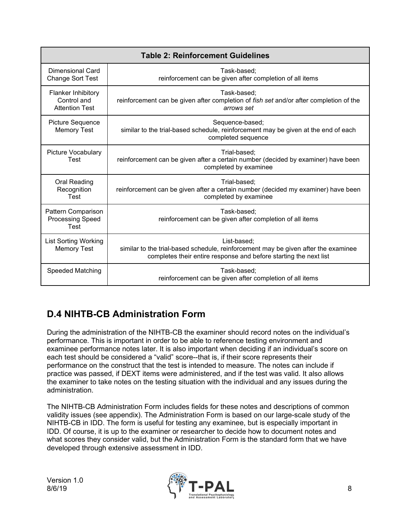|                                                                   | <b>Table 2: Reinforcement Guidelines</b>                                                                                                                               |  |  |  |  |  |  |
|-------------------------------------------------------------------|------------------------------------------------------------------------------------------------------------------------------------------------------------------------|--|--|--|--|--|--|
| Dimensional Card<br><b>Change Sort Test</b>                       | Task-based;<br>reinforcement can be given after completion of all items                                                                                                |  |  |  |  |  |  |
| <b>Flanker Inhibitory</b><br>Control and<br><b>Attention Test</b> | Task-based;<br>reinforcement can be given after completion of <i>fish set</i> and/or after completion of the<br>arrows set                                             |  |  |  |  |  |  |
| <b>Picture Sequence</b><br><b>Memory Test</b>                     | Sequence-based;<br>similar to the trial-based schedule, reinforcement may be given at the end of each<br>completed sequence                                            |  |  |  |  |  |  |
| Picture Vocabulary<br>Test                                        | Trial-based;<br>reinforcement can be given after a certain number (decided by examiner) have been<br>completed by examinee                                             |  |  |  |  |  |  |
| Oral Reading<br>Recognition<br>Test                               | Trial-based;<br>reinforcement can be given after a certain number (decided my examiner) have been<br>completed by examinee                                             |  |  |  |  |  |  |
| Pattern Comparison<br><b>Processing Speed</b><br>Test             | Task-based:<br>reinforcement can be given after completion of all items                                                                                                |  |  |  |  |  |  |
| <b>List Sorting Working</b><br><b>Memory Test</b>                 | List-based;<br>similar to the trial-based schedule, reinforcement may be given after the examinee<br>completes their entire response and before starting the next list |  |  |  |  |  |  |
| Speeded Matching                                                  | Task-based:<br>reinforcement can be given after completion of all items                                                                                                |  |  |  |  |  |  |

## **D.4 NIHTB-CB Administration Form**

During the administration of the NIHTB-CB the examiner should record notes on the individual's performance. This is important in order to be able to reference testing environment and examinee performance notes later. It is also important when deciding if an individual's score on each test should be considered a "valid" score--that is, if their score represents their performance on the construct that the test is intended to measure. The notes can include if practice was passed, if DEXT items were administered, and if the test was valid. It also allows the examiner to take notes on the testing situation with the individual and any issues during the administration.

The NIHTB-CB Administration Form includes fields for these notes and descriptions of common validity issues (see appendix). The Administration Form is based on our large-scale study of the NIHTB-CB in IDD. The form is useful for testing any examinee, but is especially important in IDD. Of course, it is up to the examiner or researcher to decide how to document notes and what scores they consider valid, but the Administration Form is the standard form that we have developed through extensive assessment in IDD.

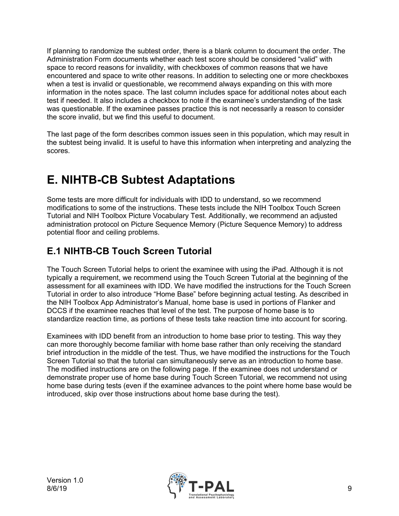If planning to randomize the subtest order, there is a blank column to document the order. The Administration Form documents whether each test score should be considered "valid" with space to record reasons for invalidity, with checkboxes of common reasons that we have encountered and space to write other reasons. In addition to selecting one or more checkboxes when a test is invalid or questionable, we recommend always expanding on this with more information in the notes space. The last column includes space for additional notes about each test if needed. It also includes a checkbox to note if the examinee's understanding of the task was questionable. If the examinee passes practice this is not necessarily a reason to consider the score invalid, but we find this useful to document.

The last page of the form describes common issues seen in this population, which may result in the subtest being invalid. It is useful to have this information when interpreting and analyzing the scores.

# **E. NIHTB-CB Subtest Adaptations**

Some tests are more difficult for individuals with IDD to understand, so we recommend modifications to some of the instructions. These tests include the NIH Toolbox Touch Screen Tutorial and NIH Toolbox Picture Vocabulary Test. Additionally, we recommend an adjusted administration protocol on Picture Sequence Memory (Picture Sequence Memory) to address potential floor and ceiling problems.

### **E.1 NIHTB-CB Touch Screen Tutorial**

The Touch Screen Tutorial helps to orient the examinee with using the iPad. Although it is not typically a requirement, we recommend using the Touch Screen Tutorial at the beginning of the assessment for all examinees with IDD. We have modified the instructions for the Touch Screen Tutorial in order to also introduce "Home Base" before beginning actual testing. As described in the NIH Toolbox App Administrator's Manual, home base is used in portions of Flanker and DCCS if the examinee reaches that level of the test. The purpose of home base is to standardize reaction time, as portions of these tests take reaction time into account for scoring.

Examinees with IDD benefit from an introduction to home base prior to testing. This way they can more thoroughly become familiar with home base rather than only receiving the standard brief introduction in the middle of the test. Thus, we have modified the instructions for the Touch Screen Tutorial so that the tutorial can simultaneously serve as an introduction to home base. The modified instructions are on the following page. If the examinee does not understand or demonstrate proper use of home base during Touch Screen Tutorial, we recommend not using home base during tests (even if the examinee advances to the point where home base would be introduced, skip over those instructions about home base during the test).

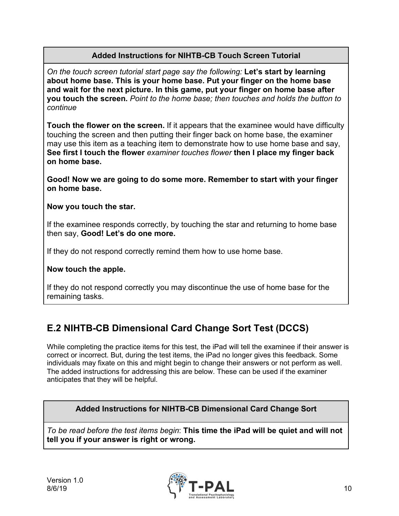#### **Added Instructions for NIHTB-CB Touch Screen Tutorial**

*On the touch screen tutorial start page say the following:* **Let's start by learning about home base. This is your home base. Put your finger on the home base and wait for the next picture. In this game, put your finger on home base after you touch the screen.** *Point to the home base; then touches and holds the button to continue*

**Touch the flower on the screen.** If it appears that the examinee would have difficulty touching the screen and then putting their finger back on home base, the examiner may use this item as a teaching item to demonstrate how to use home base and say, **See first I touch the flower** *examiner touches flower* **then I place my finger back on home base.**

**Good! Now we are going to do some more. Remember to start with your finger on home base.**

**Now you touch the star.**

If the examinee responds correctly, by touching the star and returning to home base then say, **Good! Let's do one more.**

If they do not respond correctly remind them how to use home base.

**Now touch the apple.** 

If they do not respond correctly you may discontinue the use of home base for the remaining tasks.

## **E.2 NIHTB-CB Dimensional Card Change Sort Test (DCCS)**

While completing the practice items for this test, the iPad will tell the examinee if their answer is correct or incorrect. But, during the test items, the iPad no longer gives this feedback. Some individuals may fixate on this and might begin to change their answers or not perform as well. The added instructions for addressing this are below. These can be used if the examiner anticipates that they will be helpful.

**Added Instructions for NIHTB-CB Dimensional Card Change Sort**

*To be read before the test items begin*: **This time the iPad will be quiet and will not tell you if your answer is right or wrong.**

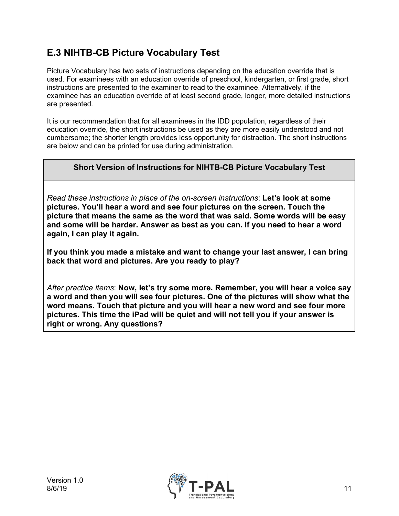## **E.3 NIHTB-CB Picture Vocabulary Test**

Picture Vocabulary has two sets of instructions depending on the education override that is used. For examinees with an education override of preschool, kindergarten, or first grade, short instructions are presented to the examiner to read to the examinee. Alternatively, if the examinee has an education override of at least second grade, longer, more detailed instructions are presented.

It is our recommendation that for all examinees in the IDD population, regardless of their education override, the short instructions be used as they are more easily understood and not cumbersome; the shorter length provides less opportunity for distraction. The short instructions are below and can be printed for use during administration.

#### **Short Version of Instructions for NIHTB-CB Picture Vocabulary Test**

*Read these instructions in place of the on-screen instructions*: **Let's look at some pictures. You'll hear a word and see four pictures on the screen. Touch the picture that means the same as the word that was said. Some words will be easy and some will be harder. Answer as best as you can. If you need to hear a word again, I can play it again.** 

**If you think you made a mistake and want to change your last answer, I can bring back that word and pictures. Are you ready to play?**

*After practice items*: **Now, let's try some more. Remember, you will hear a voice say a word and then you will see four pictures. One of the pictures will show what the word means. Touch that picture and you will hear a new word and see four more pictures. This time the iPad will be quiet and will not tell you if your answer is right or wrong. Any questions?** 

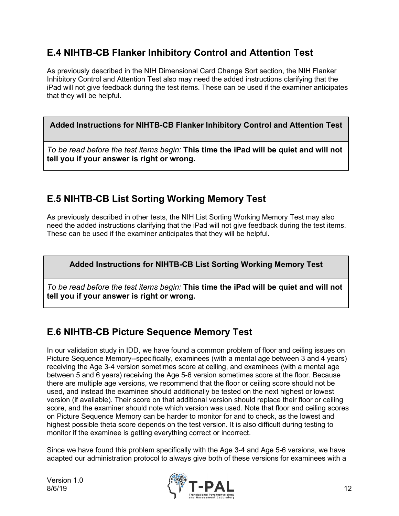### **E.4 NIHTB-CB Flanker Inhibitory Control and Attention Test**

As previously described in the NIH Dimensional Card Change Sort section, the NIH Flanker Inhibitory Control and Attention Test also may need the added instructions clarifying that the iPad will not give feedback during the test items. These can be used if the examiner anticipates that they will be helpful.

#### **Added Instructions for NIHTB-CB Flanker Inhibitory Control and Attention Test**

*To be read before the test items begin:* **This time the iPad will be quiet and will not tell you if your answer is right or wrong.**

## **E.5 NIHTB-CB List Sorting Working Memory Test**

As previously described in other tests, the NIH List Sorting Working Memory Test may also need the added instructions clarifying that the iPad will not give feedback during the test items. These can be used if the examiner anticipates that they will be helpful.

#### **Added Instructions for NIHTB-CB List Sorting Working Memory Test**

*To be read before the test items begin:* **This time the iPad will be quiet and will not tell you if your answer is right or wrong.**

### **E.6 NIHTB-CB Picture Sequence Memory Test**

In our validation study in IDD, we have found a common problem of floor and ceiling issues on Picture Sequence Memory--specifically, examinees (with a mental age between 3 and 4 years) receiving the Age 3-4 version sometimes score at ceiling, and examinees (with a mental age between 5 and 6 years) receiving the Age 5-6 version sometimes score at the floor. Because there are multiple age versions, we recommend that the floor or ceiling score should not be used, and instead the examinee should additionally be tested on the next highest or lowest version (if available). Their score on that additional version should replace their floor or ceiling score, and the examiner should note which version was used. Note that floor and ceiling scores on Picture Sequence Memory can be harder to monitor for and to check, as the lowest and highest possible theta score depends on the test version. It is also difficult during testing to monitor if the examinee is getting everything correct or incorrect.

Since we have found this problem specifically with the Age 3-4 and Age 5-6 versions, we have adapted our administration protocol to always give both of these versions for examinees with a

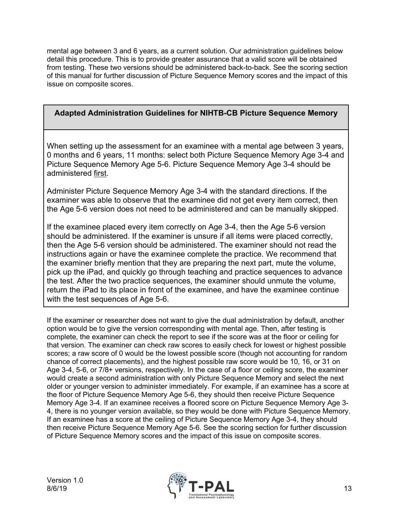mental age between 3 and 6 years, as a current solution. Our administration guidelines below detail this procedure. This is to provide greater assurance that a valid score will be obtained from testing. These two versions should be administered back-to-back. See the scoring section of this manual for further discussion of Picture Sequence Memory scores and the impact of this issue on composite scores.

#### **Adapted Administration Guidelines for NIHTB-CB Picture Sequence Memory**

When setting up the assessment for an examinee with a mental age between 3 years, 0 months and 6 years, 11 months: select both Picture Sequence Memory Age 3-4 and Picture Sequence Memory Age 5-6. Picture Sequence Memory Age 3-4 should be administered first.

Administer Picture Sequence Memory Age 3-4 with the standard directions. If the examiner was able to observe that the examinee did not get every item correct, then the Age 5-6 version does not need to be administered and can be manually skipped.

If the examinee placed every item correctly on Age 3-4, then the Age 5-6 version should be administered. If the examiner is unsure if all items were placed correctly, then the Age 5-6 version should be administered. The examiner should not read the instructions again or have the examinee complete the practice. We recommend that the examiner briefly mention that they are preparing the next part, mute the volume, pick up the iPad, and quickly go through teaching and practice sequences to advance the test. After the two practice sequences, the examiner should unmute the volume, return the iPad to its place in front of the examinee, and have the examinee continue with the test sequences of Age 5-6.

If the examiner or researcher does not want to give the dual administration by default, another option would be to give the version corresponding with mental age. Then, after testing is complete, the examiner can check the report to see if the score was at the floor or ceiling for that version. The examiner can check raw scores to easily check for lowest or highest possible scores; a raw score of 0 would be the lowest possible score (though not accounting for random chance of correct placements), and the highest possible raw score would be 10, 16, or 31 on Age 3-4, 5-6, or 7/8+ versions, respectively. In the case of a floor or ceiling score, the examiner would create a second administration with only Picture Sequence Memory and select the next older or younger version to administer immediately. For example, if an examinee has a score at the floor of Picture Sequence Memory Age 5-6, they should then receive Picture Sequence Memory Age 3-4. If an examinee receives a floored score on Picture Sequence Memory Age 3- 4, there is no younger version available, so they would be done with Picture Sequence Memory. If an examinee has a score at the ceiling of Picture Sequence Memory Age 3-4, they should then receive Picture Sequence Memory Age 5-6. See the scoring section for further discussion of Picture Sequence Memory scores and the impact of this issue on composite scores.

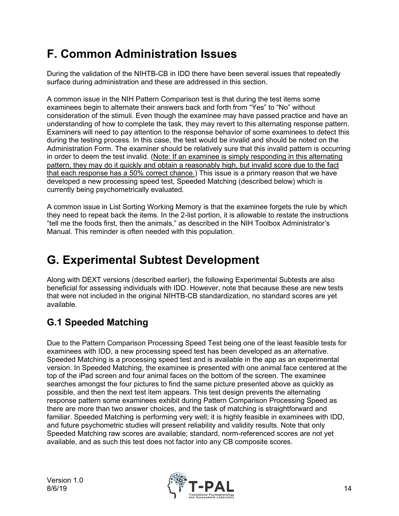# **F. Common Administration Issues**

During the validation of the NIHTB-CB in IDD there have been several issues that repeatedly surface during administration and these are addressed in this section.

A common issue in the NIH Pattern Comparison test is that during the test items some examinees begin to alternate their answers back and forth from "Yes" to "No" without consideration of the stimuli. Even though the examinee may have passed practice and have an understanding of how to complete the task, they may revert to this alternating response pattern. Examiners will need to pay attention to the response behavior of some examinees to detect this during the testing process. In this case, the test would be invalid and should be noted on the Administration Form. The examiner should be relatively sure that this invalid pattern is occurring in order to deem the test invalid. (Note: If an examinee is simply responding in this alternating pattern, they may do it quickly and obtain a reasonably high, but invalid score due to the fact that each response has a 50% correct chance.) This issue is a primary reason that we have developed a new processing speed test, Speeded Matching (described below) which is currently being psychometrically evaluated.

A common issue in List Sorting Working Memory is that the examinee forgets the rule by which they need to repeat back the items. In the 2-list portion, it is allowable to restate the instructions "tell me the foods first, then the animals," as described in the NIH Toolbox Administrator's Manual. This reminder is often needed with this population.

# **G. Experimental Subtest Development**

Along with DEXT versions (described earlier), the following Experimental Subtests are also beneficial for assessing individuals with IDD. However, note that because these are new tests that were not included in the original NIHTB-CB standardization, no standard scores are yet available.

## **G.1 Speeded Matching**

Due to the Pattern Comparison Processing Speed Test being one of the least feasible tests for examinees with IDD, a new processing speed test has been developed as an alternative. Speeded Matching is a processing speed test and is available in the app as an experimental version. In Speeded Matching, the examinee is presented with one animal face centered at the top of the iPad screen and four animal faces on the bottom of the screen. The examinee searches amongst the four pictures to find the same picture presented above as quickly as possible, and then the next test item appears. This test design prevents the alternating response pattern some examinees exhibit during Pattern Comparison Processing Speed as there are more than two answer choices, and the task of matching is straightforward and familiar. Speeded Matching is performing very well; it is highly feasible in examinees with IDD, and future psychometric studies will present reliability and validity results. Note that only Speeded Matching raw scores are available; standard, norm-referenced scores are not yet available, and as such this test does not factor into any CB composite scores.

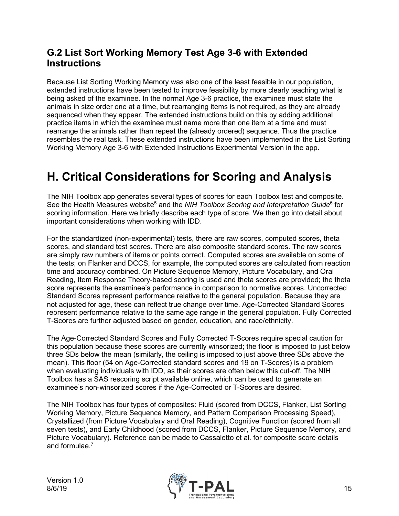### **G.2 List Sort Working Memory Test Age 3-6 with Extended Instructions**

Because List Sorting Working Memory was also one of the least feasible in our population, extended instructions have been tested to improve feasibility by more clearly teaching what is being asked of the examinee. In the normal Age 3-6 practice, the examinee must state the animals in size order one at a time, but rearranging items is not required, as they are already sequenced when they appear. The extended instructions build on this by adding additional practice items in which the examinee must name more than one item at a time and must rearrange the animals rather than repeat the (already ordered) sequence. Thus the practice resembles the real task. These extended instructions have been implemented in the List Sorting Working Memory Age 3-6 with Extended Instructions Experimental Version in the app.

## **H. Critical Considerations for Scoring and Analysis**

The NIH Toolbox app generates several types of scores for each Toolbox test and composite. S[e](#page-18-5)e the Health Measures website<sup>5</sup> and the *NIH Toolbox Scoring and Interpretation Guide*<sup>6</sup> for scoring information. Here we briefly describe each type of score. We then go into detail about important considerations when working with IDD.

For the standardized (non-experimental) tests, there are raw scores, computed scores, theta scores, and standard test scores. There are also composite standard scores. The raw scores are simply raw numbers of items or points correct. Computed scores are available on some of the tests; on Flanker and DCCS, for example, the computed scores are calculated from reaction time and accuracy combined. On Picture Sequence Memory, Picture Vocabulary, and Oral Reading, Item Response Theory-based scoring is used and theta scores are provided; the theta score represents the examinee's performance in comparison to normative scores. Uncorrected Standard Scores represent performance relative to the general population. Because they are not adjusted for age, these can reflect true change over time. Age-Corrected Standard Scores represent performance relative to the same age range in the general population. Fully Corrected T-Scores are further adjusted based on gender, education, and race/ethnicity.

The Age-Corrected Standard Scores and Fully Corrected T-Scores require special caution for this population because these scores are currently winsorized; the floor is imposed to just below three SDs below the mean (similarly, the ceiling is imposed to just above three SDs above the mean). This floor (54 on Age-Corrected standard scores and 19 on T-Scores) is a problem when evaluating individuals with IDD, as their scores are often below this cut-off. The NIH Toolbox has a SAS rescoring script available online, which can be used to generate an examinee's non-winsorized scores if the Age-Corrected or T-Scores are desired.

The NIH Toolbox has four types of composites: Fluid (scored from DCCS, Flanker, List Sorting Working Memory, Picture Sequence Memory, and Pattern Comparison Processing Speed), Crystallized (from Picture Vocabulary and Oral Reading), Cognitive Function (scored from all seven tests), and Early Childhood (scored from DCCS, Flanker, Picture Sequence Memory, and Picture Vocabulary). Reference can be made to Cassaletto et al. for composite score details and formulae. $7$ 

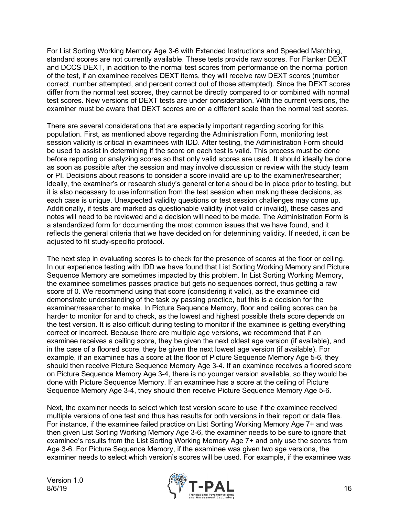For List Sorting Working Memory Age 3-6 with Extended Instructions and Speeded Matching, standard scores are not currently available. These tests provide raw scores. For Flanker DEXT and DCCS DEXT, in addition to the normal test scores from performance on the normal portion of the test, if an examinee receives DEXT items, they will receive raw DEXT scores (number correct, number attempted, and percent correct out of those attempted). Since the DEXT scores differ from the normal test scores, they cannot be directly compared to or combined with normal test scores. New versions of DEXT tests are under consideration. With the current versions, the examiner must be aware that DEXT scores are on a different scale than the normal test scores.

There are several considerations that are especially important regarding scoring for this population. First, as mentioned above regarding the Administration Form, monitoring test session validity is critical in examinees with IDD. After testing, the Administration Form should be used to assist in determining if the score on each test is valid. This process must be done before reporting or analyzing scores so that only valid scores are used. It should ideally be done as soon as possible after the session and may involve discussion or review with the study team or PI. Decisions about reasons to consider a score invalid are up to the examiner/researcher; ideally, the examiner's or research study's general criteria should be in place prior to testing, but it is also necessary to use information from the test session when making these decisions, as each case is unique. Unexpected validity questions or test session challenges may come up. Additionally, if tests are marked as questionable validity (not valid or invalid), these cases and notes will need to be reviewed and a decision will need to be made. The Administration Form is a standardized form for documenting the most common issues that we have found, and it reflects the general criteria that we have decided on for determining validity. If needed, it can be adjusted to fit study-specific protocol.

The next step in evaluating scores is to check for the presence of scores at the floor or ceiling. In our experience testing with IDD we have found that List Sorting Working Memory and Picture Sequence Memory are sometimes impacted by this problem. In List Sorting Working Memory, the examinee sometimes passes practice but gets no sequences correct, thus getting a raw score of 0. We recommend using that score (considering it valid), as the examinee did demonstrate understanding of the task by passing practice, but this is a decision for the examiner/researcher to make. In Picture Sequence Memory, floor and ceiling scores can be harder to monitor for and to check, as the lowest and highest possible theta score depends on the test version. It is also difficult during testing to monitor if the examinee is getting everything correct or incorrect. Because there are multiple age versions, we recommend that if an examinee receives a ceiling score, they be given the next oldest age version (if available), and in the case of a floored score, they be given the next lowest age version (if available). For example, if an examinee has a score at the floor of Picture Sequence Memory Age 5-6, they should then receive Picture Sequence Memory Age 3-4. If an examinee receives a floored score on Picture Sequence Memory Age 3-4, there is no younger version available, so they would be done with Picture Sequence Memory. If an examinee has a score at the ceiling of Picture Sequence Memory Age 3-4, they should then receive Picture Sequence Memory Age 5-6.

Next, the examiner needs to select which test version score to use if the examinee received multiple versions of one test and thus has results for both versions in their report or data files. For instance, if the examinee failed practice on List Sorting Working Memory Age 7+ and was then given List Sorting Working Memory Age 3-6, the examiner needs to be sure to ignore that examinee's results from the List Sorting Working Memory Age 7+ and only use the scores from Age 3-6. For Picture Sequence Memory, if the examinee was given two age versions, the examiner needs to select which version's scores will be used. For example, if the examinee was

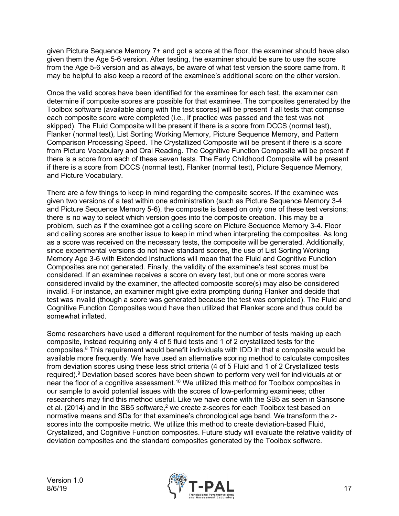given Picture Sequence Memory 7+ and got a score at the floor, the examiner should have also given them the Age 5-6 version. After testing, the examiner should be sure to use the score from the Age 5-6 version and as always, be aware of what test version the score came from. It may be helpful to also keep a record of the examinee's additional score on the other version.

Once the valid scores have been identified for the examinee for each test, the examiner can determine if composite scores are possible for that examinee. The composites generated by the Toolbox software (available along with the test scores) will be present if all tests that comprise each composite score were completed (i.e., if practice was passed and the test was not skipped). The Fluid Composite will be present if there is a score from DCCS (normal test), Flanker (normal test), List Sorting Working Memory, Picture Sequence Memory, and Pattern Comparison Processing Speed. The Crystallized Composite will be present if there is a score from Picture Vocabulary and Oral Reading. The Cognitive Function Composite will be present if there is a score from each of these seven tests. The Early Childhood Composite will be present if there is a score from DCCS (normal test), Flanker (normal test), Picture Sequence Memory, and Picture Vocabulary.

There are a few things to keep in mind regarding the composite scores. If the examinee was given two versions of a test within one administration (such as Picture Sequence Memory 3-4 and Picture Sequence Memory 5-6), the composite is based on only one of these test versions; there is no way to select which version goes into the composite creation. This may be a problem, such as if the examinee got a ceiling score on Picture Sequence Memory 3-4. Floor and ceiling scores are another issue to keep in mind when interpreting the composites. As long as a score was received on the necessary tests, the composite will be generated. Additionally, since experimental versions do not have standard scores, the use of List Sorting Working Memory Age 3-6 with Extended Instructions will mean that the Fluid and Cognitive Function Composites are not generated. Finally, the validity of the examinee's test scores must be considered. If an examinee receives a score on every test, but one or more scores were considered invalid by the examiner, the affected composite score(s) may also be considered invalid. For instance, an examiner might give extra prompting during Flanker and decide that test was invalid (though a score was generated because the test was completed). The Fluid and Cognitive Function Composites would have then utilized that Flanker score and thus could be somewhat inflated.

Some researchers have used a different requirement for the number of tests making up each composite, instead requiring only 4 of 5 fluid tests and 1 of 2 crystallized tests for the composites[.8](#page-18-7) This requirement would benefit individuals with IDD in that a composite would be available more frequently. We have used an alternative scoring method to calculate composites from deviation scores using these less strict criteria (4 of 5 Fluid and 1 of 2 Crystallized tests required). [9](#page-18-8) Deviation based scores have been shown to perform very well for individuals at or near the floor of a cognitive assessment. $^{\mathsf{10}}$  $^{\mathsf{10}}$  $^{\mathsf{10}}$  We utilized this method for Toolbox composites in our sample to avoid potential issues with the scores of low-performing examinees; other researchers may find this method useful. Like we have done with the SB5 as seen in Sansone et al. (2014) and in the SB5 software[,](#page-18-1) $^2$  we create z-scores for each Toolbox test based on normative means and SDs for that examinee's chronological age band. We transform the zscores into the composite metric. We utilize this method to create deviation-based Fluid, Crystalized, and Cognitive Function composites. Future study will evaluate the relative validity of deviation composites and the standard composites generated by the Toolbox software.

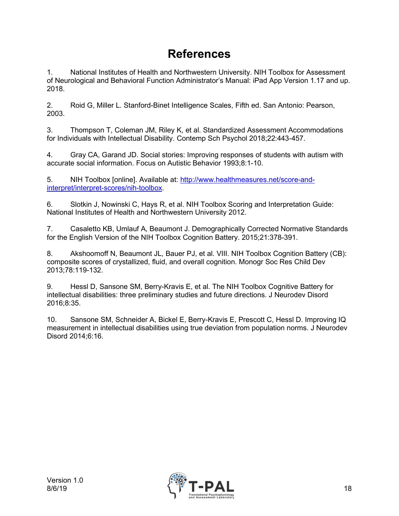## **References**

<span id="page-18-0"></span>1. National Institutes of Health and Northwestern University. NIH Toolbox for Assessment of Neurological and Behavioral Function Administrator's Manual: iPad App Version 1.17 and up. 2018.

<span id="page-18-1"></span>2. Roid G, Miller L. Stanford-Binet Intelligence Scales, Fifth ed. San Antonio: Pearson, 2003.

<span id="page-18-2"></span>3. Thompson T, Coleman JM, Riley K, et al. Standardized Assessment Accommodations for Individuals with Intellectual Disability. Contemp Sch Psychol 2018;22:443-457.

<span id="page-18-3"></span>4. Gray CA, Garand JD. Social stories: Improving responses of students with autism with accurate social information. Focus on Autistic Behavior 1993;8:1-10.

<span id="page-18-4"></span>5. NIH Toolbox [online]. Available at: [http://www.healthmeasures.net/score-and](http://www.healthmeasures.net/score-and-interpret/interpret-scores/nih-toolbox)[interpret/interpret-scores/nih-toolbox.](http://www.healthmeasures.net/score-and-interpret/interpret-scores/nih-toolbox)

<span id="page-18-5"></span>6. Slotkin J, Nowinski C, Hays R, et al. NIH Toolbox Scoring and Interpretation Guide: National Institutes of Health and Northwestern University 2012.

<span id="page-18-6"></span>7. Casaletto KB, Umlauf A, Beaumont J. Demographically Corrected Normative Standards for the English Version of the NIH Toolbox Cognition Battery. 2015;21:378-391.

<span id="page-18-7"></span>8. Akshoomoff N, Beaumont JL, Bauer PJ, et al. VIII. NIH Toolbox Cognition Battery (CB): composite scores of crystallized, fluid, and overall cognition. Monogr Soc Res Child Dev 2013;78:119-132.

<span id="page-18-8"></span>9. Hessl D, Sansone SM, Berry-Kravis E, et al. The NIH Toolbox Cognitive Battery for intellectual disabilities: three preliminary studies and future directions. J Neurodev Disord 2016;8:35.

<span id="page-18-9"></span>10. Sansone SM, Schneider A, Bickel E, Berry-Kravis E, Prescott C, Hessl D. Improving IQ measurement in intellectual disabilities using true deviation from population norms. J Neurodev Disord 2014;6:16.

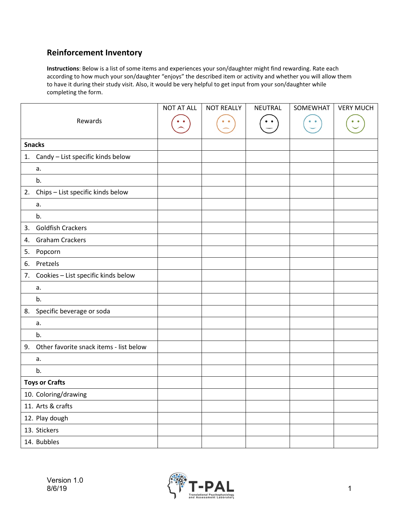#### **Reinforcement Inventory**

**Instructions**: Below is a list of some items and experiences your son/daughter might find rewarding. Rate each according to how much your son/daughter "enjoys" the described item or activity and whether you will allow them to have it during their study visit. Also, it would be very helpful to get input from your son/daughter while completing the form.

|    |                                         | <b>NOT AT ALL</b> | <b>NOT REALLY</b> | NEUTRAL | SOMEWHAT | <b>VERY MUCH</b> |
|----|-----------------------------------------|-------------------|-------------------|---------|----------|------------------|
|    | Rewards                                 |                   |                   |         |          |                  |
|    |                                         |                   |                   |         |          |                  |
|    | <b>Snacks</b>                           |                   |                   |         |          |                  |
|    | 1. Candy - List specific kinds below    |                   |                   |         |          |                  |
|    | a.                                      |                   |                   |         |          |                  |
|    | b.                                      |                   |                   |         |          |                  |
|    | 2. Chips - List specific kinds below    |                   |                   |         |          |                  |
|    | а.                                      |                   |                   |         |          |                  |
|    | b.                                      |                   |                   |         |          |                  |
| 3. | <b>Goldfish Crackers</b>                |                   |                   |         |          |                  |
| 4. | <b>Graham Crackers</b>                  |                   |                   |         |          |                  |
| 5. | Popcorn                                 |                   |                   |         |          |                  |
| 6. | Pretzels                                |                   |                   |         |          |                  |
|    | 7. Cookies - List specific kinds below  |                   |                   |         |          |                  |
|    | a.                                      |                   |                   |         |          |                  |
|    | b.                                      |                   |                   |         |          |                  |
| 8. | Specific beverage or soda               |                   |                   |         |          |                  |
|    | a.                                      |                   |                   |         |          |                  |
|    | b.                                      |                   |                   |         |          |                  |
| 9. | Other favorite snack items - list below |                   |                   |         |          |                  |
|    | a.                                      |                   |                   |         |          |                  |
|    | b.                                      |                   |                   |         |          |                  |
|    | <b>Toys or Crafts</b>                   |                   |                   |         |          |                  |
|    | 10. Coloring/drawing                    |                   |                   |         |          |                  |
|    | 11. Arts & crafts                       |                   |                   |         |          |                  |
|    | 12. Play dough                          |                   |                   |         |          |                  |
|    | 13. Stickers                            |                   |                   |         |          |                  |
|    | 14. Bubbles                             |                   |                   |         |          |                  |

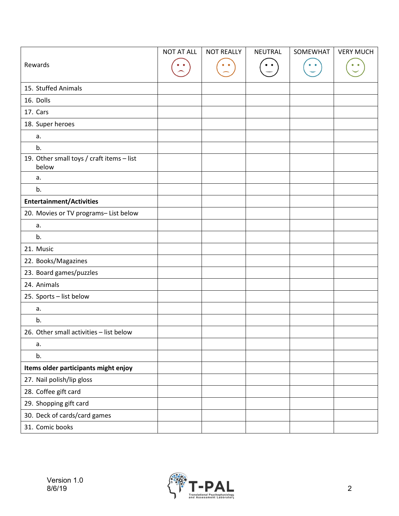|                                                    | <b>NOT AT ALL</b> | <b>NOT REALLY</b> | <b>NEUTRAL</b> | SOMEWHAT | <b>VERY MUCH</b> |
|----------------------------------------------------|-------------------|-------------------|----------------|----------|------------------|
| Rewards                                            |                   |                   |                |          |                  |
|                                                    |                   |                   |                |          |                  |
| 15. Stuffed Animals                                |                   |                   |                |          |                  |
| 16. Dolls                                          |                   |                   |                |          |                  |
| 17. Cars                                           |                   |                   |                |          |                  |
| 18. Super heroes                                   |                   |                   |                |          |                  |
| a.                                                 |                   |                   |                |          |                  |
| b.                                                 |                   |                   |                |          |                  |
| 19. Other small toys / craft items - list<br>below |                   |                   |                |          |                  |
| a.                                                 |                   |                   |                |          |                  |
| b.                                                 |                   |                   |                |          |                  |
| <b>Entertainment/Activities</b>                    |                   |                   |                |          |                  |
| 20. Movies or TV programs- List below              |                   |                   |                |          |                  |
| a.                                                 |                   |                   |                |          |                  |
| b.                                                 |                   |                   |                |          |                  |
| 21. Music                                          |                   |                   |                |          |                  |
| 22. Books/Magazines                                |                   |                   |                |          |                  |
| 23. Board games/puzzles                            |                   |                   |                |          |                  |
| 24. Animals                                        |                   |                   |                |          |                  |
| 25. Sports - list below                            |                   |                   |                |          |                  |
| a.                                                 |                   |                   |                |          |                  |
| b.                                                 |                   |                   |                |          |                  |
| 26. Other small activities - list below            |                   |                   |                |          |                  |
| a.                                                 |                   |                   |                |          |                  |
| b.                                                 |                   |                   |                |          |                  |
| Items older participants might enjoy               |                   |                   |                |          |                  |
| 27. Nail polish/lip gloss                          |                   |                   |                |          |                  |
| 28. Coffee gift card                               |                   |                   |                |          |                  |
| 29. Shopping gift card                             |                   |                   |                |          |                  |
| 30. Deck of cards/card games                       |                   |                   |                |          |                  |
| 31. Comic books                                    |                   |                   |                |          |                  |

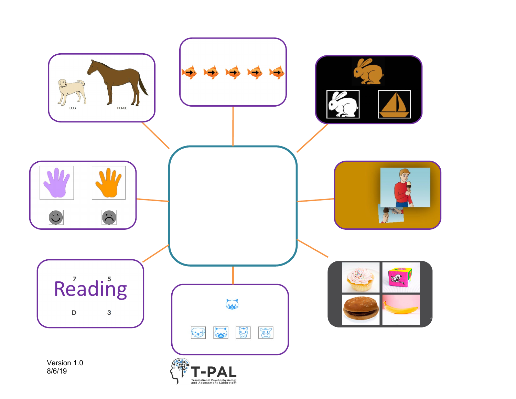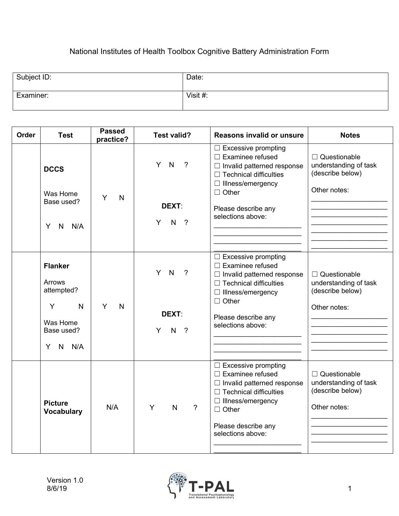### National Institutes of Health Toolbox Cognitive Battery Administration Form

| Subject ID: | Date:    |
|-------------|----------|
| Examiner:   | Visit #: |

| Order | <b>Test</b>                                                                                             | <b>Passed</b><br>practice? | <b>Test valid?</b>                                               | Reasons invalid or unsure                                                                                                                                                                                           | <b>Notes</b>                                                                     |  |
|-------|---------------------------------------------------------------------------------------------------------|----------------------------|------------------------------------------------------------------|---------------------------------------------------------------------------------------------------------------------------------------------------------------------------------------------------------------------|----------------------------------------------------------------------------------|--|
|       | <b>DCCS</b><br>Was Home                                                                                 | Y<br>$\mathsf{N}$          | Y N<br>$\overline{?}$                                            | $\Box$ Excessive prompting<br>$\Box$ Examinee refused<br>$\Box$ Invalid patterned response<br>$\Box$ Technical difficulties<br>□ Illness/emergency<br>$\Box$ Other                                                  | □ Questionable<br>understanding of task<br>(describe below)<br>Other notes:      |  |
|       | Base used?<br>N<br>N/A<br>Y                                                                             |                            | <b>DEXT:</b><br>${\sf N}$<br>Y<br>$\overline{?}$                 | Please describe any<br>selections above:                                                                                                                                                                            |                                                                                  |  |
|       | <b>Flanker</b><br>Arrows<br>attempted?<br>N.<br>Y<br>Was Home<br>Base used?<br>$\mathsf{N}$<br>N/A<br>Y | Y<br>$\mathsf{N}$          | Y N<br>$\overline{?}$<br>DEXT:<br>$\mathsf{N}$<br>$\cdot$ ?<br>Y | $\Box$ Excessive prompting<br>$\Box$ Examinee refused<br>$\Box$ Invalid patterned response<br>$\Box$ Technical difficulties<br>$\Box$ Illness/emergency<br>$\Box$ Other<br>Please describe any<br>selections above: | $\Box$ Questionable<br>understanding of task<br>(describe below)<br>Other notes: |  |
|       | <b>Picture</b><br><b>Vocabulary</b>                                                                     | N/A                        | Y<br>$\overline{?}$<br>$\mathsf{N}$                              | $\Box$ Excessive prompting<br>$\Box$ Examinee refused<br>$\Box$ Invalid patterned response<br>$\Box$ Technical difficulties<br>$\Box$ Illness/emergency<br>$\Box$ Other<br>Please describe any<br>selections above: | □ Questionable<br>understanding of task<br>(describe below)<br>Other notes:      |  |

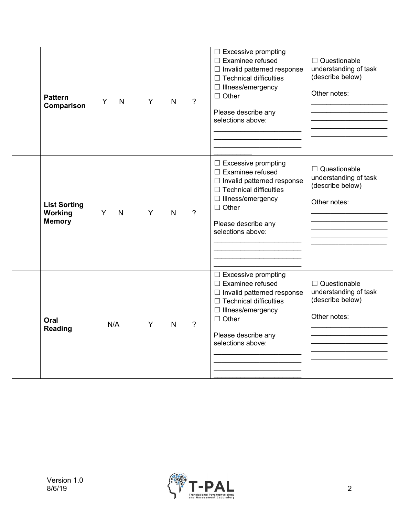| <b>Pattern</b><br>Comparison                    | Y<br>$\mathsf{N}$ | Y | N | $\gamma$ | $\Box$ Excessive prompting<br>$\Box$ Examinee refused<br>$\Box$ Invalid patterned response<br>$\Box$ Technical difficulties<br>$\Box$ Illness/emergency<br>$\Box$ Other<br>Please describe any<br>selections above: | □ Questionable<br>understanding of task<br>(describe below)<br>Other notes:      |
|-------------------------------------------------|-------------------|---|---|----------|---------------------------------------------------------------------------------------------------------------------------------------------------------------------------------------------------------------------|----------------------------------------------------------------------------------|
| <b>List Sorting</b><br>Working<br><b>Memory</b> | Y<br>$\mathsf{N}$ | Y | N | $\gamma$ | $\Box$ Excessive prompting<br>$\Box$ Examinee refused<br>$\Box$ Invalid patterned response<br>$\Box$ Technical difficulties<br>$\Box$ Illness/emergency<br>$\Box$ Other<br>Please describe any<br>selections above: | $\Box$ Questionable<br>understanding of task<br>(describe below)<br>Other notes: |
| Oral<br>Reading                                 | N/A               | Y | N | $\gamma$ | $\Box$ Excessive prompting<br>$\Box$ Examinee refused<br>□ Invalid patterned response<br>$\Box$ Technical difficulties<br>$\Box$ Illness/emergency<br>$\Box$ Other<br>Please describe any<br>selections above:      | $\Box$ Questionable<br>understanding of task<br>(describe below)<br>Other notes: |

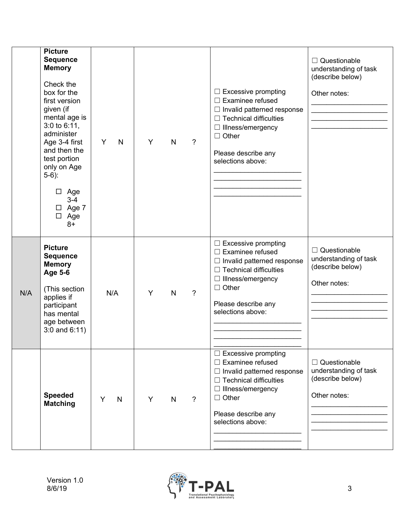|     | <b>Picture</b><br><b>Sequence</b><br><b>Memory</b><br>Check the<br>box for the<br>first version<br>given (if<br>mental age is<br>$3:0$ to $6:11$ ,<br>administer<br>Age 3-4 first<br>and then the<br>test portion<br>only on Age<br>$5-6$ :<br>$\Box$ Age<br>$3 - 4$<br>$\Box$ Age 7<br>$\Box$ Age<br>$8+$ | Y<br>N            | Y | $\mathsf{N}$ | $\overline{?}$ | $\Box$ Excessive prompting<br>$\Box$ Examinee refused<br>$\Box$ Invalid patterned response<br>$\Box$ Technical difficulties<br>$\Box$ Illness/emergency<br>$\Box$ Other<br>Please describe any<br>selections above: | $\Box$ Questionable<br>understanding of task<br>(describe below)<br>Other notes: |
|-----|------------------------------------------------------------------------------------------------------------------------------------------------------------------------------------------------------------------------------------------------------------------------------------------------------------|-------------------|---|--------------|----------------|---------------------------------------------------------------------------------------------------------------------------------------------------------------------------------------------------------------------|----------------------------------------------------------------------------------|
| N/A | <b>Picture</b><br><b>Sequence</b><br><b>Memory</b><br>Age 5-6<br>(This section<br>applies if<br>participant<br>has mental<br>age between<br>$3:0$ and $6:11$ )                                                                                                                                             | N/A               | Y | $\mathsf{N}$ | $\overline{?}$ | $\Box$ Excessive prompting<br>$\Box$ Examinee refused<br>$\Box$ Invalid patterned response<br>$\Box$ Technical difficulties<br>$\Box$ Illness/emergency<br>$\Box$ Other<br>Please describe any<br>selections above: | $\Box$ Questionable<br>understanding of task<br>(describe below)<br>Other notes: |
|     | <b>Speeded</b><br><b>Matching</b>                                                                                                                                                                                                                                                                          | Y<br>$\mathsf{N}$ | Y | $\mathsf{N}$ | $\overline{?}$ | $\Box$ Excessive prompting<br>$\Box$ Examinee refused<br>$\Box$ Invalid patterned response<br>$\Box$ Technical difficulties<br>$\Box$ Illness/emergency<br>$\Box$ Other<br>Please describe any<br>selections above: | $\Box$ Questionable<br>understanding of task<br>(describe below)<br>Other notes: |

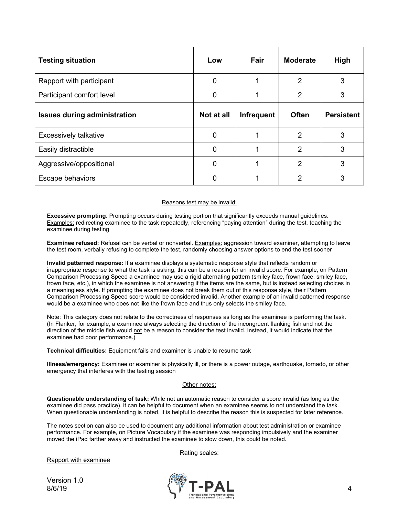| <b>Testing situation</b>            | Low         | Fair              | <b>Moderate</b> | High              |
|-------------------------------------|-------------|-------------------|-----------------|-------------------|
| Rapport with participant            | $\mathbf 0$ |                   | 2               | 3                 |
| Participant comfort level           | $\mathbf 0$ |                   | $\overline{2}$  | 3                 |
| <b>Issues during administration</b> | Not at all  | <b>Infrequent</b> | <b>Often</b>    | <b>Persistent</b> |
| Excessively talkative               | $\Omega$    |                   | 2               | 3                 |
| Easily distractible                 | 0           |                   | 2               | 3                 |
| Aggressive/oppositional             | $\mathbf 0$ |                   | 2               | 3                 |
| Escape behaviors                    | $\Omega$    |                   | 2               | 3                 |

#### Reasons test may be invalid:

**Excessive prompting**: Prompting occurs during testing portion that significantly exceeds manual guidelines. Examples: redirecting examinee to the task repeatedly, referencing "paying attention" during the test, teaching the examinee during testing

**Examinee refused:** Refusal can be verbal or nonverbal. Examples: aggression toward examiner, attempting to leave the test room, verbally refusing to complete the test, randomly choosing answer options to end the test sooner

**Invalid patterned response:** If a examinee displays a systematic response style that reflects random or inappropriate response to what the task is asking, this can be a reason for an invalid score. For example, on Pattern Comparison Processing Speed a examinee may use a rigid alternating pattern (smiley face, frown face, smiley face, frown face, etc.), in which the examinee is not answering if the items are the same, but is instead selecting choices in a meaningless style. If prompting the examinee does not break them out of this response style, their Pattern Comparison Processing Speed score would be considered invalid. Another example of an invalid patterned response would be a examinee who does not like the frown face and thus only selects the smiley face.

Note: This category does not relate to the correctness of responses as long as the examinee is performing the task. (In Flanker, for example, a examinee always selecting the direction of the incongruent flanking fish and not the direction of the middle fish would not be a reason to consider the test invalid. Instead, it would indicate that the examinee had poor performance.)

**Technical difficulties:** Equipment fails and examiner is unable to resume task

**Illness/emergency:** Examinee or examiner is physically ill, or there is a power outage, earthquake, tornado, or other emergency that interferes with the testing session

#### Other notes:

**Questionable understanding of task:** While not an automatic reason to consider a score invalid (as long as the examinee did pass practice), it can be helpful to document when an examinee seems to not understand the task. When questionable understanding is noted, it is helpful to describe the reason this is suspected for later reference.

The notes section can also be used to document any additional information about test administration or examinee performance. For example, on Picture Vocabulary if the examinee was responding impulsively and the examiner moved the iPad farther away and instructed the examinee to slow down, this could be noted.

Rating scales:

Rapport with examinee

Version 1.0